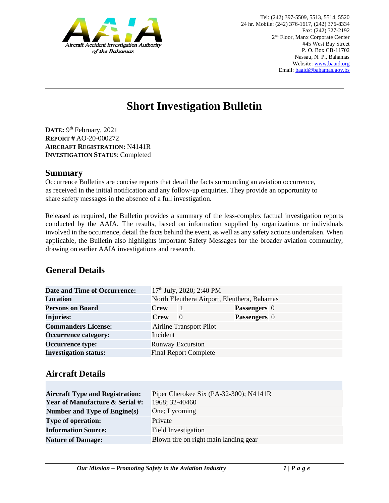

# **Short Investigation Bulletin**

DATE: 9<sup>th</sup> February, 2021 **REPORT #** AO-20-000272 **AIRCRAFT REGISTRATION:** N4141R **INVESTIGATION STATUS**: Completed

#### **Summary**

Occurrence Bulletins are concise reports that detail the facts surrounding an aviation occurrence, as received in the initial notification and any follow-up enquiries. They provide an opportunity to share safety messages in the absence of a full investigation*.* 

Released as required, the Bulletin provides a summary of the less-complex factual investigation reports conducted by the AAIA. The results, based on information supplied by organizations or individuals involved in the occurrence, detail the facts behind the event, as well as any safety actions undertaken. When applicable, the Bulletin also highlights important Safety Messages for the broader aviation community, drawing on earlier AAIA investigations and research.

# **General Details**

| Date and Time of Occurrence: |                                             | 17 <sup>th</sup> July, 2020; 2:40 PM |                     |  |
|------------------------------|---------------------------------------------|--------------------------------------|---------------------|--|
| <b>Location</b>              | North Eleuthera Airport, Eleuthera, Bahamas |                                      |                     |  |
| <b>Persons on Board</b>      | <b>Crew</b>                                 |                                      | Passengers 0        |  |
| <b>Injuries:</b>             | <b>Crew</b>                                 | $\theta$                             | <b>Passengers</b> 0 |  |
| <b>Commanders License:</b>   | <b>Airline Transport Pilot</b>              |                                      |                     |  |
| <b>Occurrence category:</b>  | Incident                                    |                                      |                     |  |
| <b>Occurrence type:</b>      | <b>Runway Excursion</b>                     |                                      |                     |  |
| <b>Investigation status:</b> |                                             | <b>Final Report Complete</b>         |                     |  |

## **Aircraft Details**

| <b>Aircraft Type and Registration:</b><br><b>Year of Manufacture &amp; Serial #:</b> | Piper Cherokee Six (PA-32-300); N4141R<br>1968; 32-40460 |
|--------------------------------------------------------------------------------------|----------------------------------------------------------|
| Number and Type of Engine(s)                                                         | One; Lycoming                                            |
| <b>Type of operation:</b>                                                            | Private                                                  |
| <b>Information Source:</b>                                                           | <b>Field Investigation</b>                               |
| <b>Nature of Damage:</b>                                                             | Blown tire on right main landing gear                    |